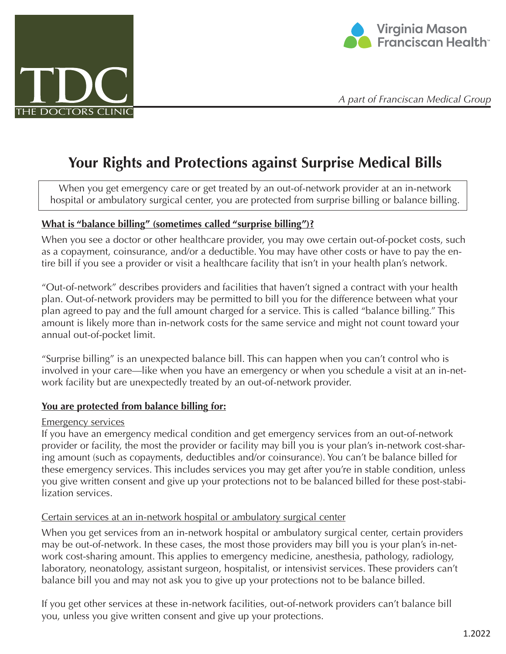



*A part of Franciscan Medical Group*

# **Your Rights and Protections against Surprise Medical Bills**

When you get emergency care or get treated by an out-of-network provider at an in-network hospital or ambulatory surgical center, you are protected from surprise billing or balance billing.

### **What is "balance billing" (sometimes called "surprise billing")?**

When you see a doctor or other healthcare provider, you may owe certain out-of-pocket costs, such as a copayment, coinsurance, and/or a deductible. You may have other costs or have to pay the entire bill if you see a provider or visit a healthcare facility that isn't in your health plan's network.

"Out-of-network" describes providers and facilities that haven't signed a contract with your health plan. Out-of-network providers may be permitted to bill you for the difference between what your plan agreed to pay and the full amount charged for a service. This is called "balance billing." This amount is likely more than in-network costs for the same service and might not count toward your annual out-of-pocket limit.

"Surprise billing" is an unexpected balance bill. This can happen when you can't control who is involved in your care—like when you have an emergency or when you schedule a visit at an in-network facility but are unexpectedly treated by an out-of-network provider.

## **You are protected from balance billing for:**

### Emergency services

If you have an emergency medical condition and get emergency services from an out-of-network provider or facility, the most the provider or facility may bill you is your plan's in-network cost-sharing amount (such as copayments, deductibles and/or coinsurance). You can't be balance billed for these emergency services. This includes services you may get after you're in stable condition, unless you give written consent and give up your protections not to be balanced billed for these post-stabilization services.

### Certain services at an in-network hospital or ambulatory surgical center

When you get services from an in-network hospital or ambulatory surgical center, certain providers may be out-of-network. In these cases, the most those providers may bill you is your plan's in-network cost-sharing amount. This applies to emergency medicine, anesthesia, pathology, radiology, laboratory, neonatology, assistant surgeon, hospitalist, or intensivist services. These providers can't balance bill you and may not ask you to give up your protections not to be balance billed.

If you get other services at these in-network facilities, out-of-network providers can't balance bill you, unless you give written consent and give up your protections.